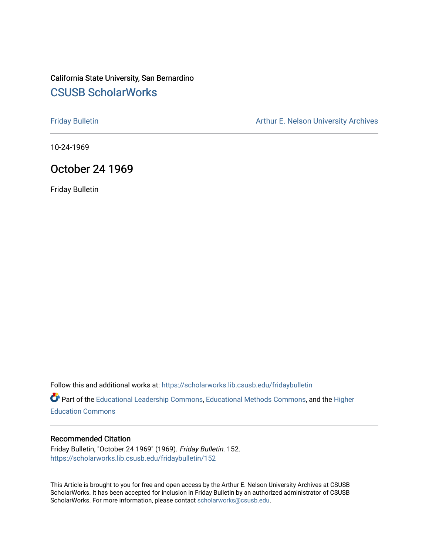## California State University, San Bernardino [CSUSB ScholarWorks](https://scholarworks.lib.csusb.edu/)

[Friday Bulletin](https://scholarworks.lib.csusb.edu/fridaybulletin) **Arthur E. Nelson University Archives** Arthur E. Nelson University Archives

10-24-1969

### October 24 1969

Friday Bulletin

Follow this and additional works at: [https://scholarworks.lib.csusb.edu/fridaybulletin](https://scholarworks.lib.csusb.edu/fridaybulletin?utm_source=scholarworks.lib.csusb.edu%2Ffridaybulletin%2F152&utm_medium=PDF&utm_campaign=PDFCoverPages)

Part of the [Educational Leadership Commons,](http://network.bepress.com/hgg/discipline/1230?utm_source=scholarworks.lib.csusb.edu%2Ffridaybulletin%2F152&utm_medium=PDF&utm_campaign=PDFCoverPages) [Educational Methods Commons,](http://network.bepress.com/hgg/discipline/1227?utm_source=scholarworks.lib.csusb.edu%2Ffridaybulletin%2F152&utm_medium=PDF&utm_campaign=PDFCoverPages) and the [Higher](http://network.bepress.com/hgg/discipline/1245?utm_source=scholarworks.lib.csusb.edu%2Ffridaybulletin%2F152&utm_medium=PDF&utm_campaign=PDFCoverPages) [Education Commons](http://network.bepress.com/hgg/discipline/1245?utm_source=scholarworks.lib.csusb.edu%2Ffridaybulletin%2F152&utm_medium=PDF&utm_campaign=PDFCoverPages) 

#### Recommended Citation

Friday Bulletin, "October 24 1969" (1969). Friday Bulletin. 152. [https://scholarworks.lib.csusb.edu/fridaybulletin/152](https://scholarworks.lib.csusb.edu/fridaybulletin/152?utm_source=scholarworks.lib.csusb.edu%2Ffridaybulletin%2F152&utm_medium=PDF&utm_campaign=PDFCoverPages)

This Article is brought to you for free and open access by the Arthur E. Nelson University Archives at CSUSB ScholarWorks. It has been accepted for inclusion in Friday Bulletin by an authorized administrator of CSUSB ScholarWorks. For more information, please contact [scholarworks@csusb.edu.](mailto:scholarworks@csusb.edu)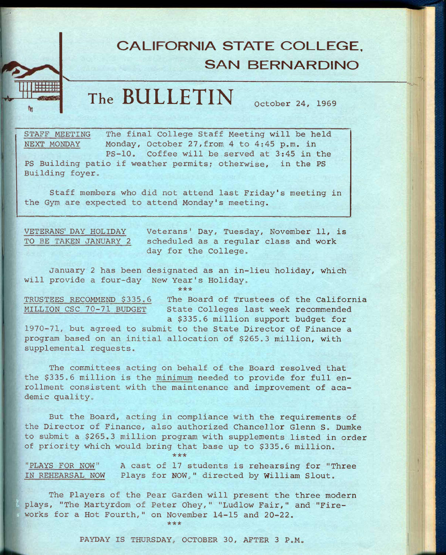# **CALIFORNIA STATE COLLEGE. SAN BERNARDINO**

**The BULLETIN** OCtober 24, 1969

STAFF MEETING The final College Staff Meeting will be held NEXT MONDAY Monday, October 27,from 4 to 4:45 p.m. in PS-10. Coffee will be served at 3:45 in the

PS Building patio if weather permits; otherwise, in the PS Building foyer.

Staff members who did not attend last Friday's meeting in the Gym are expected to attend Monday's meeting.

VETERANS' DAY HOLIDAY Veterans' Day, Tuesday, November 11, is TO BE TAKEN JANUARY 2 scheduled as a regular class and work day for the College.

January 2 has been designated as an in-lieu holiday, which will provide a four-day New Year's Holiday.

**\*\*\*** 

TRUSTEES RECOMMEND \$335.6 The Board of Trustees of the California MILLION CSC 70-71 BUDGET State Colleges last week recommended a \$335.6 million support budget for

1970-71, but agreed to submit to the State Director of Finance a program based on an initial allocation of \$265.3 million, with supplemental requests.

The committees acting on behalf of the Board resolved that the \$335.6 million is the minimum needed to provide for full enrollment consistent with the maintenance and improvement of academic quality.

But the Board, acting in compliance with the requirements of the Director of Finance, also authorized Chancellor Glenn S. Dumke to submit a \$265.3 million program with supplements listed in order of priority which would bring that base up to \$335.6 million.

"PLAYS FOR NOW" A cast of 17 students is rehearsing for "Three IN REHEARSAL NOW Plays for NOW," directed by William Slout.

**\*\*\*** 

The Players of the Pear Garden will present the three modern plays, "The Martyrdom of Peter Ohey," "Ludlow Fair," and "Fire-; works for a Hot Fourth," on November 14-15 and 20-22. **\*\*\*** 

PAYDAY IS THURSDAY, OCTOBER 30, AFTER 3 P.M.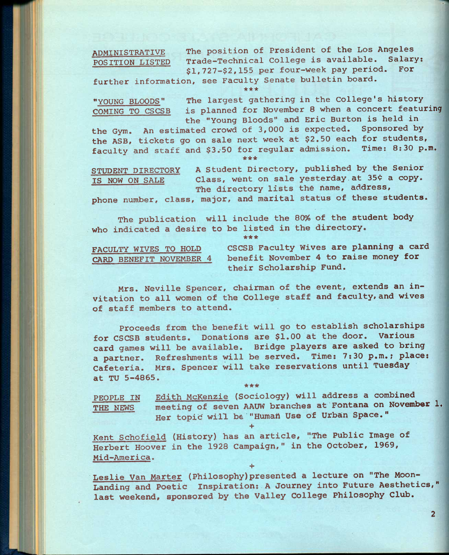**ADMINISTRATIVE The position of President of the Los Angeles POSITION LISTED** Trade-Technical College is available. Salary<br>81 727-82 155 per four-week pay period. For \$1,727-\$2,155 per four-week pay period.

**further information, see Faculty Senate bulletin board. \*\*\*** 

**"YOUNG BLOODS" The largest gathering in the College's history COMING TO CSCSB is planned for November 8 when a concert featuring the "Young Bloods" and Eric Burton is held in** 

**the Gym. An estimated crowd of 3,000 is expected. Sponsored by the ASB, tickets go on sale next week at \$2.50 each for students, faculty and staff and \$3.-50 for regular admission. Time: 8:30 p.m.**  *\*\*\** 

**STUDENT DIRECTORY A Student Directory, published by the Senior**  IS NOW ON SALE **Class, went on sale yesterday at 35¢ a copy.** The directory lists the name, address,

**phone number, class, major, and marital status of these students.** 

**The publication will include the 80% of the student body who indicated a desire to be listed in the directory.** 

**\*\*\*** 

**FACULTY WIVES TO HOLD CSCSB Faculty Wives are planning a card CARD BENEFIT NOVEMBER 4 benefit November 4 to raise money for their Scholarship Fund.** 

**Mrs. Neville Spencer, chairman of the event, extends an invitation to all women of the College staff and faculty, and wives of staff members to attend.** 

**Proceeds from the benefit will go to establish scholarships for CSCSB students. Donations are \$1.00 at the door. Various card games will be available. Bridge players are asked to bring a partner. Refreshments will be served. Time: 7:30 p.m.; place: Cafeteria. Mrs. Spencer will take reservations until Tuesday at TU 5-4865.** 

**PEOPLE IN Edith McKenzie (Sociology) will address a combined THE NEWS meeting of seven AAUW branches at Fontana on November 1.**  Her topid will be "Human Use of Urban Space." **+** 

**Kent Schofield (History) has an article, "The Public Image of Herbert Hoover in the 1928 Campaign," in the October, 1969, Mid-America.** 

**+** 

**\*\*\*** 

**Leslie Van Marter (Philosophy)presented a lecture on "The Moon-Landing and Poetic Inspiration: A Journey into Future Aesthetics," last weekend, sponsored by the Valley College Philosophy Club.**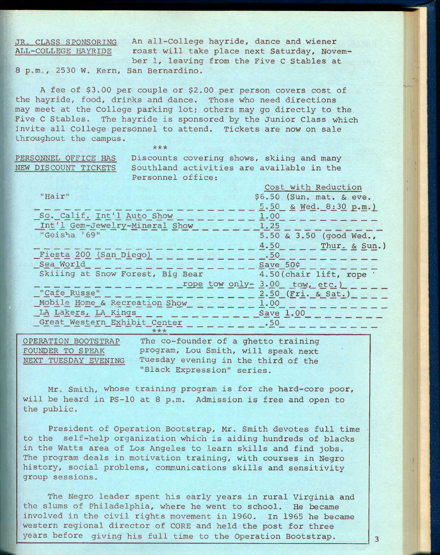## ALL-COLLEGE HAYRIDE

JR. CLASS SPONSORING An all-College hayride, dance and wiener roast will take place next Saturday, November 1, leaving from the Five C Stables at

8 p.m., 2530 W. Kern, San Bernardino.

A fee of \$3.00 per couple or \$2.00 per person covers cost of the hayride, food, drinks and dance. Those who need directions may meet at the College parking lot; others may go directly to the Five C Stables. The hayride is sponsored by the Junior Class which invite all College personnel to attend. Tickets are now on sale throughout the campus.

**\*\* \*** 

PERSONNEL OFFICE HAS Discounts covering shows, skiing and many NEW DISCOUNT TICKETS Southland activities are available in the Personnel office:

|                                  | Cost with Reduction            |
|----------------------------------|--------------------------------|
| "Hair"                           | \$6.50 (Sun. mat. & eve.)      |
|                                  | 5.50 & Wed. 8:30 p.m.)         |
| So. Calif. Int'l Auto Show       | 1.00                           |
| Int'l Gem-Jewelry-Mineral Show   | 1.25                           |
| "Geisha '69"                     | 5.50 & 3.50 (good Wed.,        |
|                                  | 4.50 Thur. & Sun.)             |
| Fiesta 200 (San Diego)           | .50                            |
| Sea World                        | Save 50¢                       |
| Skiiing at Snow Forest, Big Bear | 4.50 (chair lift, rope '       |
|                                  | rope tow only- 3.00 tow, etc.) |
| "Cafe Russe"                     | 2.50 (Fri. & Sat.)             |
| Mobile Home & Recreation Show    | 1.00                           |
| LA Lakers, LA Kings              | Save 1.00                      |
| Great Western Exhibit Center     | $\overline{\phantom{0}}$ .50   |
| ***                              |                                |

OPERATION BOOTSTRAP The co-founder of a ghetto training FOUNDER TO SPEAK program, Lou Smith, will speak next NEXT TUESDAY EVENING Tuesday evening in the third of the "Black Expression" series.

Mr, Smith, whose training program is for che hard-core poor, will be heard in PS-10 at 8 p.m. Admission is free and open to the public.

President of Operation Bootstrap, Mr. Smith devotes full time to the self-help organization which is aiding hundreds of blacks in the Watts area of Los Angeles to learn skills and find jobs. The program deals in motivation training, with courses in Negro history, social problems, communications skills and sensitivity group sessions.

The Negro leader spent his early years in rural Virginia and the slums of Philadelphia, where he went to school. He became involved in the civil rights movement in 1960, In 1965 he became western regional director of CORE and held the post for three years before giving his full time to the Operation Bootstrap.  $3$